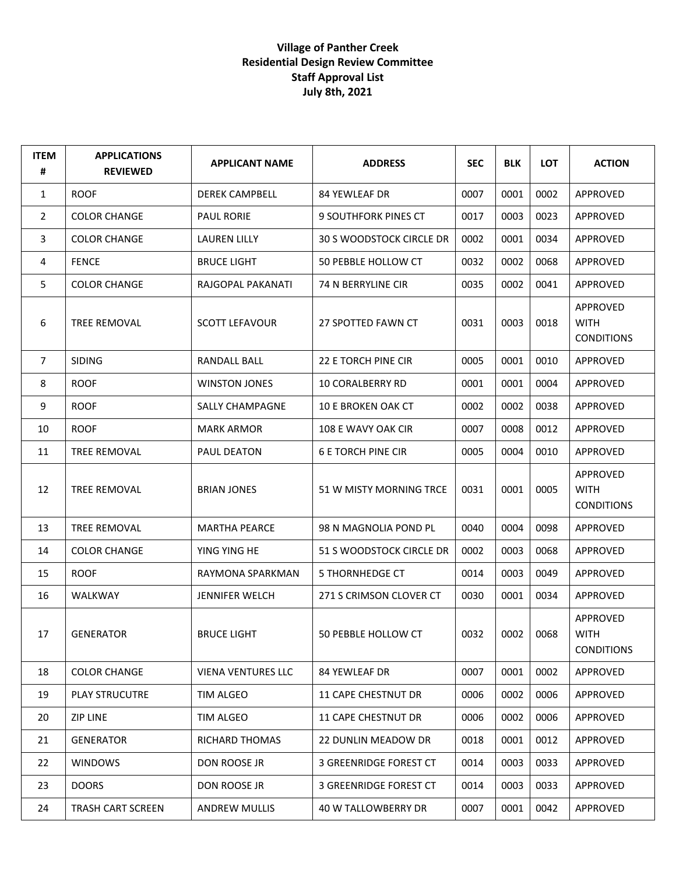## **Village of Panther Creek Residential Design Review Committee Staff Approval List July 8th, 2021**

| <b>ITEM</b><br># | <b>APPLICATIONS</b><br><b>REVIEWED</b> | <b>APPLICANT NAME</b>     | <b>ADDRESS</b>              | <b>SEC</b> | <b>BLK</b> | <b>LOT</b> | <b>ACTION</b>                                |
|------------------|----------------------------------------|---------------------------|-----------------------------|------------|------------|------------|----------------------------------------------|
| 1                | <b>ROOF</b>                            | <b>DEREK CAMPBELL</b>     | 84 YEWLEAF DR               | 0007       | 0001       | 0002       | APPROVED                                     |
| $\overline{2}$   | <b>COLOR CHANGE</b>                    | <b>PAUL RORIE</b>         | <b>9 SOUTHFORK PINES CT</b> | 0017       | 0003       | 0023       | APPROVED                                     |
| 3                | <b>COLOR CHANGE</b>                    | <b>LAUREN LILLY</b>       | 30 S WOODSTOCK CIRCLE DR    | 0002       | 0001       | 0034       | APPROVED                                     |
| 4                | <b>FENCE</b>                           | <b>BRUCE LIGHT</b>        | 50 PEBBLE HOLLOW CT         | 0032       | 0002       | 0068       | APPROVED                                     |
| 5                | <b>COLOR CHANGE</b>                    | RAJGOPAL PAKANATI         | 74 N BERRYLINE CIR          | 0035       | 0002       | 0041       | APPROVED                                     |
| 6                | <b>TREE REMOVAL</b>                    | <b>SCOTT LEFAVOUR</b>     | 27 SPOTTED FAWN CT          | 0031       | 0003       | 0018       | APPROVED<br><b>WITH</b><br><b>CONDITIONS</b> |
| 7                | <b>SIDING</b>                          | RANDALL BALL              | 22 E TORCH PINE CIR         | 0005       | 0001       | 0010       | APPROVED                                     |
| 8                | <b>ROOF</b>                            | <b>WINSTON JONES</b>      | <b>10 CORALBERRY RD</b>     | 0001       | 0001       | 0004       | APPROVED                                     |
| 9                | <b>ROOF</b>                            | <b>SALLY CHAMPAGNE</b>    | <b>10 E BROKEN OAK CT</b>   | 0002       | 0002       | 0038       | APPROVED                                     |
| 10               | <b>ROOF</b>                            | <b>MARK ARMOR</b>         | 108 E WAVY OAK CIR          | 0007       | 0008       | 0012       | APPROVED                                     |
| 11               | TREE REMOVAL                           | PAUL DEATON               | <b>6 E TORCH PINE CIR</b>   | 0005       | 0004       | 0010       | <b>APPROVED</b>                              |
| 12               | TREE REMOVAL                           | <b>BRIAN JONES</b>        | 51 W MISTY MORNING TRCE     | 0031       | 0001       | 0005       | APPROVED<br><b>WITH</b><br><b>CONDITIONS</b> |
| 13               | TREE REMOVAL                           | <b>MARTHA PEARCE</b>      | 98 N MAGNOLIA POND PL       | 0040       | 0004       | 0098       | APPROVED                                     |
| 14               | <b>COLOR CHANGE</b>                    | YING YING HE              | 51 S WOODSTOCK CIRCLE DR    | 0002       | 0003       | 0068       | APPROVED                                     |
| 15               | <b>ROOF</b>                            | RAYMONA SPARKMAN          | <b>5 THORNHEDGE CT</b>      | 0014       | 0003       | 0049       | APPROVED                                     |
| 16               | <b>WALKWAY</b>                         | <b>JENNIFER WELCH</b>     | 271 S CRIMSON CLOVER CT     | 0030       | 0001       | 0034       | APPROVED                                     |
| 17               | <b>GENERATOR</b>                       | <b>BRUCE LIGHT</b>        | 50 PEBBLE HOLLOW CT         | 0032       | 0002       | 0068       | APPROVED<br><b>WITH</b><br><b>CONDITIONS</b> |
| 18               | <b>COLOR CHANGE</b>                    | <b>VIENA VENTURES LLC</b> | 84 YEWLEAF DR               | 0007       | 0001       | 0002       | APPROVED                                     |
| 19               | <b>PLAY STRUCUTRE</b>                  | <b>TIM ALGEO</b>          | <b>11 CAPE CHESTNUT DR</b>  | 0006       | 0002       | 0006       | APPROVED                                     |
| 20               | <b>ZIP LINE</b>                        | TIM ALGEO                 | 11 CAPE CHESTNUT DR         | 0006       | 0002       | 0006       | APPROVED                                     |
| 21               | <b>GENERATOR</b>                       | RICHARD THOMAS            | <b>22 DUNLIN MEADOW DR</b>  | 0018       | 0001       | 0012       | APPROVED                                     |
| 22               | <b>WINDOWS</b>                         | DON ROOSE JR              | 3 GREENRIDGE FOREST CT      | 0014       | 0003       | 0033       | APPROVED                                     |
| 23               | <b>DOORS</b>                           | DON ROOSE JR              | 3 GREENRIDGE FOREST CT      | 0014       | 0003       | 0033       | APPROVED                                     |
| 24               | TRASH CART SCREEN                      | ANDREW MULLIS             | 40 W TALLOWBERRY DR         | 0007       | 0001       | 0042       | APPROVED                                     |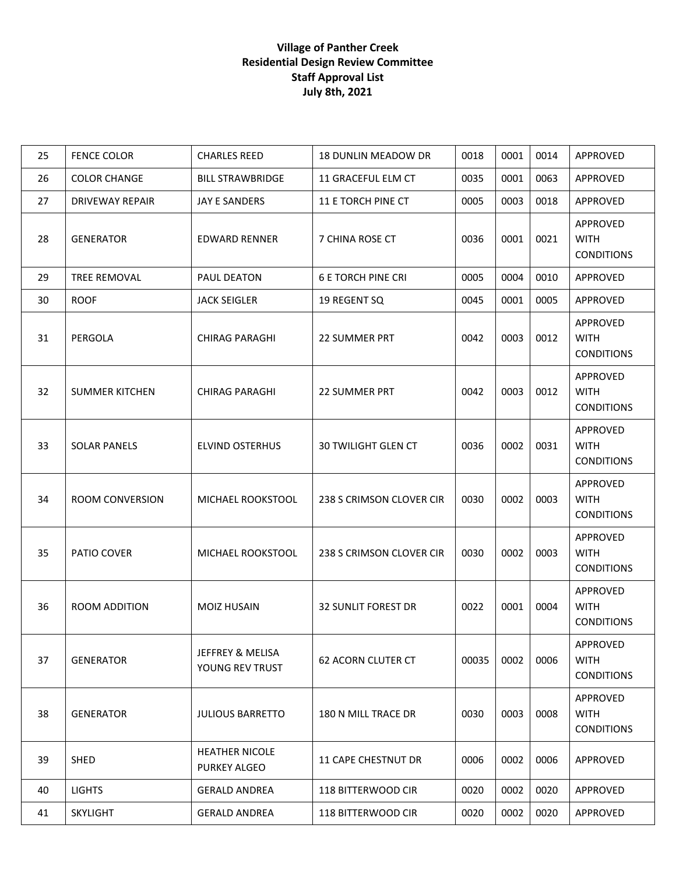## **Village of Panther Creek Residential Design Review Committee Staff Approval List July 8th, 2021**

| 25 | <b>FENCE COLOR</b>     | <b>CHARLES REED</b>                            | <b>18 DUNLIN MEADOW DR</b> | 0018  | 0001 | 0014 | APPROVED                                     |
|----|------------------------|------------------------------------------------|----------------------------|-------|------|------|----------------------------------------------|
| 26 | <b>COLOR CHANGE</b>    | <b>BILL STRAWBRIDGE</b>                        | 11 GRACEFUL ELM CT         | 0035  | 0001 | 0063 | APPROVED                                     |
| 27 | <b>DRIVEWAY REPAIR</b> | JAY E SANDERS                                  | 11 E TORCH PINE CT         | 0005  | 0003 | 0018 | APPROVED                                     |
| 28 | <b>GENERATOR</b>       | <b>EDWARD RENNER</b>                           | 7 CHINA ROSE CT            | 0036  | 0001 | 0021 | APPROVED<br><b>WITH</b><br><b>CONDITIONS</b> |
| 29 | TREE REMOVAL           | PAUL DEATON                                    | <b>6 E TORCH PINE CRI</b>  | 0005  | 0004 | 0010 | APPROVED                                     |
| 30 | <b>ROOF</b>            | <b>JACK SEIGLER</b>                            | 19 REGENT SQ               | 0045  | 0001 | 0005 | APPROVED                                     |
| 31 | PERGOLA                | <b>CHIRAG PARAGHI</b>                          | 22 SUMMER PRT              | 0042  | 0003 | 0012 | APPROVED<br><b>WITH</b><br><b>CONDITIONS</b> |
| 32 | <b>SUMMER KITCHEN</b>  | <b>CHIRAG PARAGHI</b>                          | <b>22 SUMMER PRT</b>       | 0042  | 0003 | 0012 | APPROVED<br><b>WITH</b><br><b>CONDITIONS</b> |
| 33 | <b>SOLAR PANELS</b>    | <b>ELVIND OSTERHUS</b>                         | <b>30 TWILIGHT GLEN CT</b> | 0036  | 0002 | 0031 | APPROVED<br><b>WITH</b><br><b>CONDITIONS</b> |
| 34 | ROOM CONVERSION        | MICHAEL ROOKSTOOL                              | 238 S CRIMSON CLOVER CIR   | 0030  | 0002 | 0003 | APPROVED<br><b>WITH</b><br><b>CONDITIONS</b> |
| 35 | PATIO COVER            | MICHAEL ROOKSTOOL                              | 238 S CRIMSON CLOVER CIR   | 0030  | 0002 | 0003 | APPROVED<br><b>WITH</b><br><b>CONDITIONS</b> |
| 36 | ROOM ADDITION          | <b>MOIZ HUSAIN</b>                             | <b>32 SUNLIT FOREST DR</b> | 0022  | 0001 | 0004 | APPROVED<br><b>WITH</b><br><b>CONDITIONS</b> |
| 37 | <b>GENERATOR</b>       | <b>JEFFREY &amp; MELISA</b><br>YOUNG REV TRUST | <b>62 ACORN CLUTER CT</b>  | 00035 | 0002 | 0006 | APPROVED<br><b>WITH</b><br><b>CONDITIONS</b> |
| 38 | <b>GENERATOR</b>       | <b>JULIOUS BARRETTO</b>                        | 180 N MILL TRACE DR        | 0030  | 0003 | 0008 | APPROVED<br><b>WITH</b><br><b>CONDITIONS</b> |
| 39 | <b>SHED</b>            | <b>HEATHER NICOLE</b><br><b>PURKEY ALGEO</b>   | <b>11 CAPE CHESTNUT DR</b> | 0006  | 0002 | 0006 | APPROVED                                     |
| 40 | <b>LIGHTS</b>          | <b>GERALD ANDREA</b>                           | 118 BITTERWOOD CIR         | 0020  | 0002 | 0020 | APPROVED                                     |
| 41 | <b>SKYLIGHT</b>        | <b>GERALD ANDREA</b>                           | 118 BITTERWOOD CIR         | 0020  | 0002 | 0020 | APPROVED                                     |